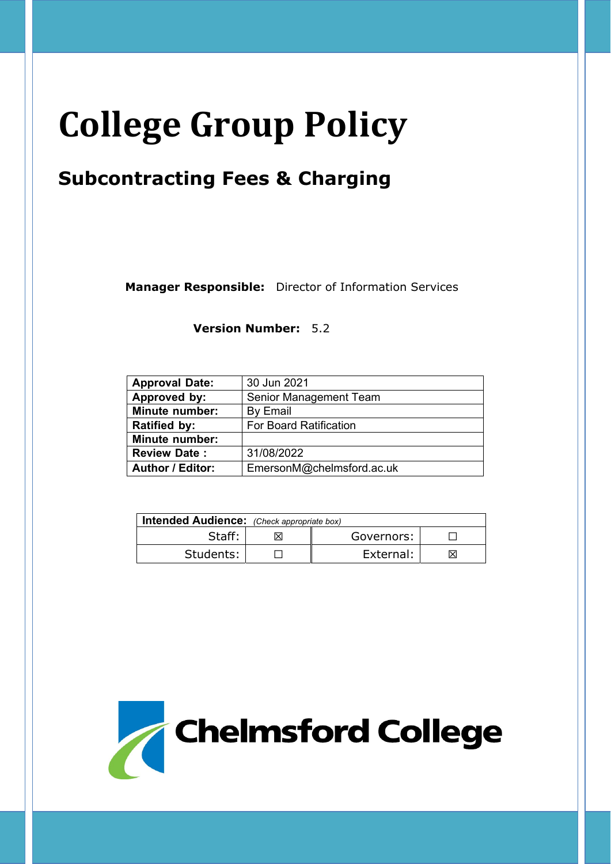# **College Group Policy**

## **Subcontracting Fees & Charging**

**Manager Responsible:** Director of Information Services

**Version Number:** 5.2

| <b>Approval Date:</b>   | 30 Jun 2021                   |
|-------------------------|-------------------------------|
| Approved by:            | Senior Management Team        |
| <b>Minute number:</b>   | By Email                      |
| <b>Ratified by:</b>     | <b>For Board Ratification</b> |
| <b>Minute number:</b>   |                               |
| <b>Review Date:</b>     | 31/08/2022                    |
| <b>Author / Editor:</b> | EmersonM@chelmsford.ac.uk     |

| Intended Audience: (Check appropriate box) |  |            |    |
|--------------------------------------------|--|------------|----|
| Staff:                                     |  | Governors: |    |
| Students:                                  |  | External:  | ΙX |

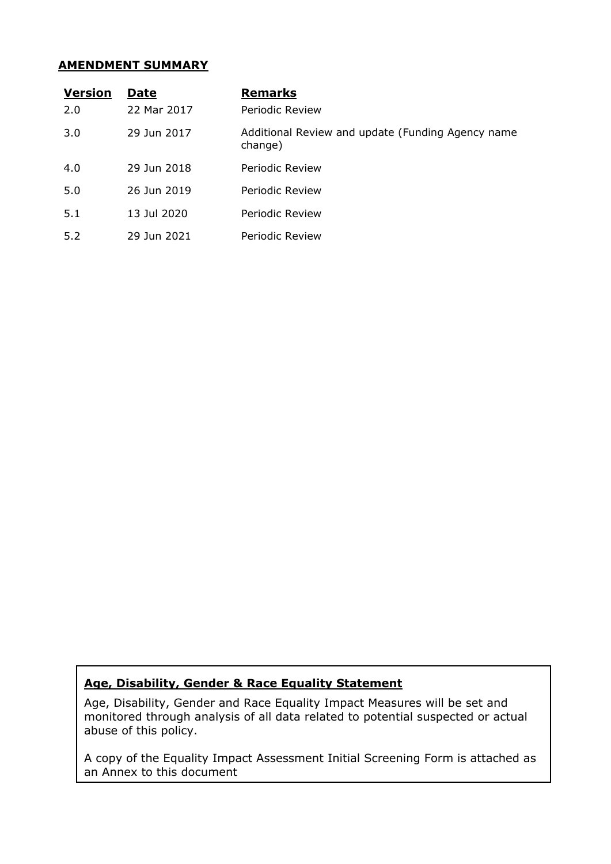#### **AMENDMENT SUMMARY**

| <b>Version</b> | Date        | <b>Remarks</b>                                               |
|----------------|-------------|--------------------------------------------------------------|
| 2.0            | 22 Mar 2017 | Periodic Review                                              |
| 3.0            | 29 Jun 2017 | Additional Review and update (Funding Agency name<br>change) |
| 4.0            | 29 Jun 2018 | Periodic Review                                              |
| 5.0            | 26 Jun 2019 | Periodic Review                                              |
| 5.1            | 13 Jul 2020 | Periodic Review                                              |
| 5.2            | 29 Jun 2021 | Periodic Review                                              |

#### **Age, Disability, Gender & Race Equality Statement**

Age, Disability, Gender and Race Equality Impact Measures will be set and monitored through analysis of all data related to potential suspected or actual abuse of this policy.

A copy of the Equality Impact Assessment Initial Screening Form is attached as an Annex to this document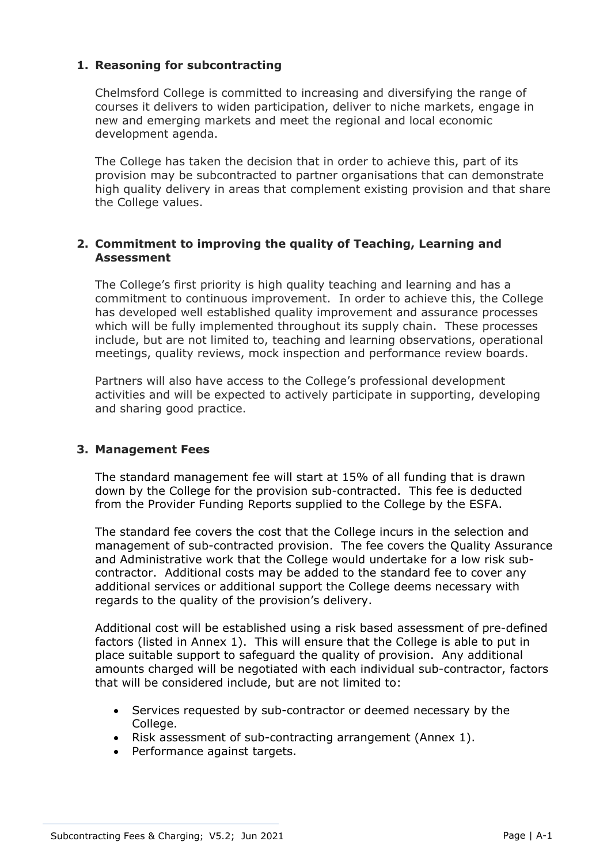#### **1. Reasoning for subcontracting**

Chelmsford College is committed to increasing and diversifying the range of courses it delivers to widen participation, deliver to niche markets, engage in new and emerging markets and meet the regional and local economic development agenda.

The College has taken the decision that in order to achieve this, part of its provision may be subcontracted to partner organisations that can demonstrate high quality delivery in areas that complement existing provision and that share the College values.

#### **2. Commitment to improving the quality of Teaching, Learning and Assessment**

The College's first priority is high quality teaching and learning and has a commitment to continuous improvement. In order to achieve this, the College has developed well established quality improvement and assurance processes which will be fully implemented throughout its supply chain. These processes include, but are not limited to, teaching and learning observations, operational meetings, quality reviews, mock inspection and performance review boards.

Partners will also have access to the College's professional development activities and will be expected to actively participate in supporting, developing and sharing good practice.

#### **3. Management Fees**

The standard management fee will start at 15% of all funding that is drawn down by the College for the provision sub-contracted. This fee is deducted from the Provider Funding Reports supplied to the College by the ESFA.

The standard fee covers the cost that the College incurs in the selection and management of sub-contracted provision. The fee covers the Quality Assurance and Administrative work that the College would undertake for a low risk subcontractor. Additional costs may be added to the standard fee to cover any additional services or additional support the College deems necessary with regards to the quality of the provision's delivery.

Additional cost will be established using a risk based assessment of pre-defined factors (listed in Annex 1). This will ensure that the College is able to put in place suitable support to safeguard the quality of provision. Any additional amounts charged will be negotiated with each individual sub-contractor, factors that will be considered include, but are not limited to:

- Services requested by sub-contractor or deemed necessary by the College.
- Risk assessment of sub-contracting arrangement (Annex 1).
- Performance against targets.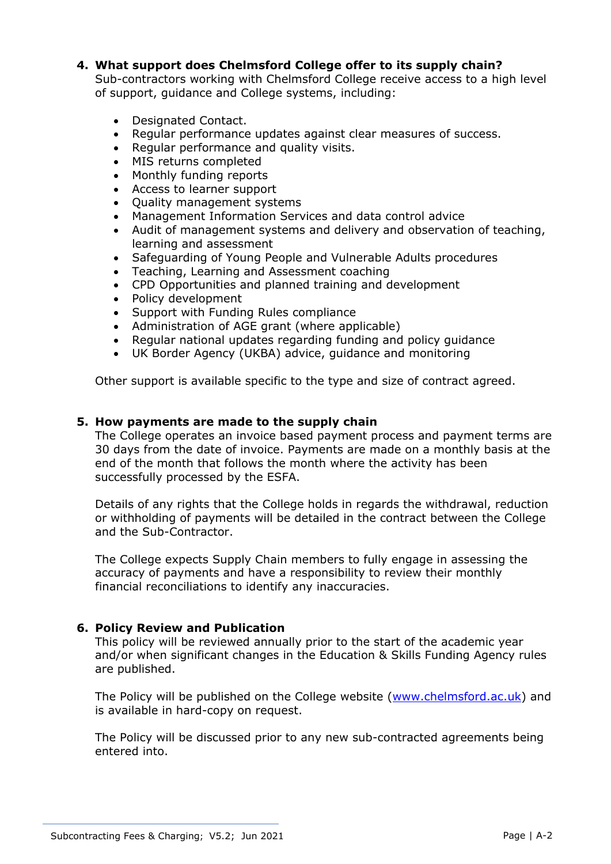#### **4. What support does Chelmsford College offer to its supply chain?**

Sub-contractors working with Chelmsford College receive access to a high level of support, guidance and College systems, including:

- Designated Contact.
- Regular performance updates against clear measures of success.
- Regular performance and quality visits.
- MIS returns completed
- Monthly funding reports
- Access to learner support
- Quality management systems
- Management Information Services and data control advice
- Audit of management systems and delivery and observation of teaching, learning and assessment
- Safeguarding of Young People and Vulnerable Adults procedures
- Teaching, Learning and Assessment coaching
- CPD Opportunities and planned training and development
- Policy development
- Support with Funding Rules compliance
- Administration of AGE grant (where applicable)
- Regular national updates regarding funding and policy guidance
- UK Border Agency (UKBA) advice, guidance and monitoring

Other support is available specific to the type and size of contract agreed.

#### **5. How payments are made to the supply chain**

The College operates an invoice based payment process and payment terms are 30 days from the date of invoice. Payments are made on a monthly basis at the end of the month that follows the month where the activity has been successfully processed by the ESFA.

Details of any rights that the College holds in regards the withdrawal, reduction or withholding of payments will be detailed in the contract between the College and the Sub-Contractor.

The College expects Supply Chain members to fully engage in assessing the accuracy of payments and have a responsibility to review their monthly financial reconciliations to identify any inaccuracies.

#### **6. Policy Review and Publication**

This policy will be reviewed annually prior to the start of the academic year and/or when significant changes in the Education & Skills Funding Agency rules are published.

The Policy will be published on the College website (www.chelmsford.ac.uk) and is available in hard-copy on request.

The Policy will be discussed prior to any new sub-contracted agreements being entered into.

Subcontracting Fees & Charging; V5.2; Jun 2021 **Page 1 A-2** Page | A-2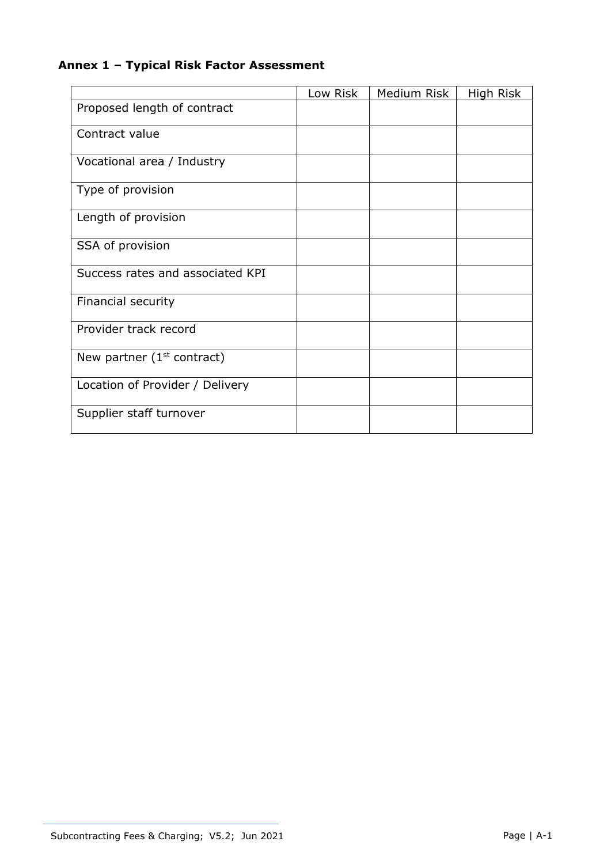### **Annex 1 – Typical Risk Factor Assessment**

|                                  | Low Risk | Medium Risk | High Risk |
|----------------------------------|----------|-------------|-----------|
| Proposed length of contract      |          |             |           |
| Contract value                   |          |             |           |
| Vocational area / Industry       |          |             |           |
| Type of provision                |          |             |           |
| Length of provision              |          |             |           |
| SSA of provision                 |          |             |           |
| Success rates and associated KPI |          |             |           |
| Financial security               |          |             |           |
| Provider track record            |          |             |           |
| New partner $(1st$ contract)     |          |             |           |
| Location of Provider / Delivery  |          |             |           |
| Supplier staff turnover          |          |             |           |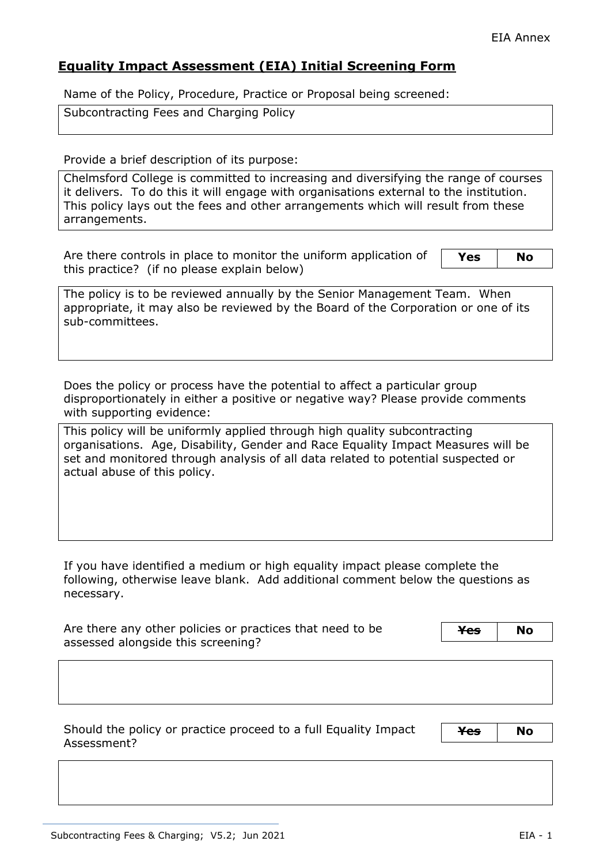#### **Equality Impact Assessment (EIA) Initial Screening Form**

Name of the Policy, Procedure, Practice or Proposal being screened:

Subcontracting Fees and Charging Policy

Provide a brief description of its purpose:

Chelmsford College is committed to increasing and diversifying the range of courses it delivers. To do this it will engage with organisations external to the institution. This policy lays out the fees and other arrangements which will result from these arrangements.

Are there controls in place to monitor the uniform application of this practice? (if no please explain below)

**Yes No** 

The policy is to be reviewed annually by the Senior Management Team. When appropriate, it may also be reviewed by the Board of the Corporation or one of its sub-committees.

Does the policy or process have the potential to affect a particular group disproportionately in either a positive or negative way? Please provide comments with supporting evidence:

This policy will be uniformly applied through high quality subcontracting organisations. Age, Disability, Gender and Race Equality Impact Measures will be set and monitored through analysis of all data related to potential suspected or actual abuse of this policy.

If you have identified a medium or high equality impact please complete the following, otherwise leave blank. Add additional comment below the questions as necessary.

| Are there any other policies or practices that need to be | <del>Yes</del> | <b>No</b> |
|-----------------------------------------------------------|----------------|-----------|
| assessed alongside this screening?                        |                |           |

Should the policy or practice proceed to a full Equality Impact Assessment?

**Yes No**